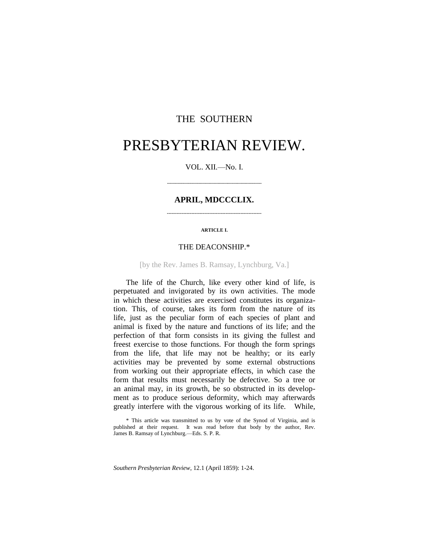# THE SOUTHERN

# PRESBYTERIAN REVIEW.

# VOL. XII.—No. I.

# **APRIL, MDCCCLIX. ----------------------------------------------------------**

**---------------------------------------------------------------------------------**

#### **ARTICLE I.**

# THE DEACONSHIP.\*

[by the Rev. James B. Ramsay, Lynchburg, Va.]

The life of the Church, like every other kind of life, is perpetuated and invigorated by its own activities. The mode in which these activities are exercised constitutes its organization. This, of course, takes its form from the nature of its life, just as the peculiar form of each species of plant and animal is fixed by the nature and functions of its life; and the perfection of that form consists in its giving the fullest and freest exercise to those functions. For though the form springs from the life, that life may not be healthy; or its early activities may be prevented by some external obstructions from working out their appropriate effects, in which case the form that results must necessarily be defective. So a tree or an animal may, in its growth, be so obstructed in its development as to produce serious deformity, which may afterwards greatly interfere with the vigorous working of its life. While,

\* This article was transmitted to us by vote of the Synod of Virginia, and is published at their request. It was read before that body by the author, Rev. James B. Ramsay of Lynchburg.—Eds. S. P. R.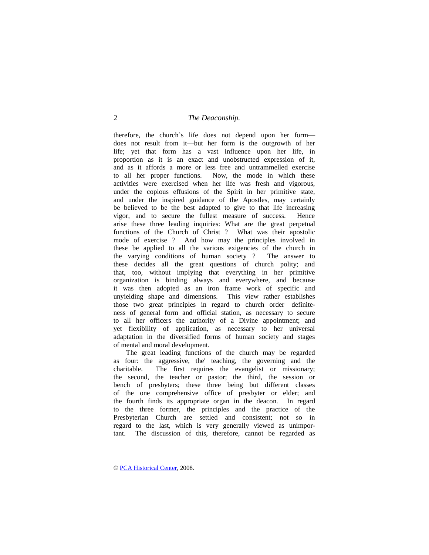therefore, the church's life does not depend upon her form does not result from it—but her form is the outgrowth of her life; yet that form has a vast influence upon her life, in proportion as it is an exact and unobstructed expression of it, and as it affords a more or less free and untrammelled exercise to all her proper functions. Now, the mode in which these activities were exercised when her life was fresh and vigorous, under the copious effusions of the Spirit in her primitive state, and under the inspired guidance of the Apostles, may certainly be believed to be the best adapted to give to that life increasing vigor, and to secure the fullest measure of success. Hence arise these three leading inquiries: What are the great perpetual functions of the Church of Christ ? What was their apostolic mode of exercise ? And how may the principles involved in these be applied to all the various exigencies of the church in the varying conditions of human society ? The answer to these decides all the great questions of church polity; and that, too, without implying that everything in her primitive organization is binding always and everywhere, and because it was then adopted as an iron frame work of specific and unyielding shape and dimensions. This view rather establishes those two great principles in regard to church order—definiteness of general form and official station, as necessary to secure to all her officers the authority of a Divine appointment; and yet flexibility of application, as necessary to her universal adaptation in the diversified forms of human society and stages of mental and moral development.

The great leading functions of the church may be regarded as four: the aggressive, the' teaching, the governing and the charitable. The first requires the evangelist or missionary; the second, the teacher or pastor; the third, the session or bench of presbyters; these three being but different classes of the one comprehensive office of presbyter or elder; and the fourth finds its appropriate organ in the deacon. In regard to the three former, the principles and the practice of the Presbyterian Church are settled and consistent; not so in regard to the last, which is very generally viewed as unimportant. The discussion of this, therefore, cannot be regarded as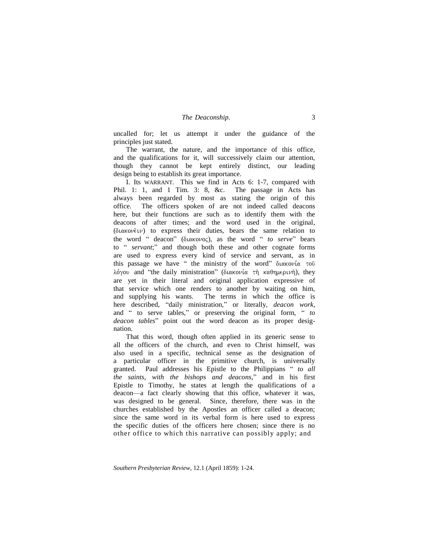uncalled for; let us attempt it under the guidance of the principles just stated.

The warrant, the nature, and the importance of this office, and the qualifications for it, will successively claim our attention, though they cannot be kept entirely distinct, our leading design being to establish its great importance.

I. Its WARRANT. This we find in Acts 6: 1-7, compared with Phil. 1: 1, and 1 Tim. 3: 8, &c. The passage in Acts has always been regarded by most as stating the origin of this office. The officers spoken of are not indeed called deacons here, but their functions are such as to identify them with the deacons of after times; and the word used in the original,  $(\delta \alpha \kappa \omega \epsilon \nu)$  to express their duties, bears the same relation to the word " deacon" (diakonoj), as the word " *to serve*" bears to " *servant*;" and though both these and other cognate forms are used to express every kind of service and servant, as in this passage we have " the ministry of the word"  $\delta$ ukovi $\alpha$  to  $\delta$ λόγου and "the daily ministration" (διακονία τη καθημερινη), they are yet in their literal and original application expressive of that service which one renders to another by waiting on him, and supplying his wants. The terms in which the office is here described, "daily ministration," or literally, *deacon work,* and " to serve tables," or preserving the original form, " *to deacon tables*" point out the word deacon as its proper designation.

That this word, though often applied in its generic sense to all the officers of the church, and even to Christ himself, was also used in a specific, technical sense as the designation of a particular officer in the primitive church, is universally granted. Paul addresses his Epistle to the Philippians " *to all the saints, with the bishops and deacons,*" and in his first Epistle to Timothy, he states at length the qualifications of a deacon—a fact clearly showing that this office, whatever it was, was designed to be general. Since, therefore, there was in the churches established by the Apostles an officer called a deacon; since the same word in its verbal form is here used to express the specific duties of the officers here chosen; since there is no other office to which this narrative can possibly apply; and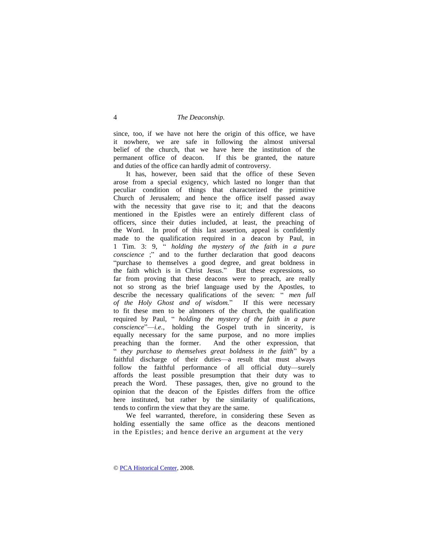since, too, if we have not here the origin of this office, we have it nowhere, we are safe in following the almost universal belief of the church, that we have here the institution of the permanent office of deacon. If this be granted, the nature and duties of the office can hardly admit of controversy.

It has, however, been said that the office of these Seven arose from a special exigency, which lasted no longer than that peculiar condition of things that characterized the primitive Church of Jerusalem; and hence the office itself passed away with the necessity that gave rise to it; and that the deacons mentioned in the Epistles were an entirely different class of officers, since their duties included, at least, the preaching of the Word. In proof of this last assertion, appeal is confidently made to the qualification required in a deacon by Paul, in 1 Tim. 3: 9, " *holding the mystery of the faith in a pure conscience* ;" and to the further declaration that good deacons "purchase to themselves a good degree, and great boldness in the faith which is in Christ Jesus." But these expressions, so far from proving that these deacons were to preach, are really not so strong as the brief language used by the Apostles, to describe the necessary qualifications of the seven: " *men full of the Holy Ghost and of wisdom.*" If this were necessary to fit these men to be almoners of the church, the qualification required by Paul, " *holding the mystery of the faith in a pure conscience*"—*i.e.,* holding the Gospel truth in sincerity, is equally necessary for the same purpose, and no more implies preaching than the former. And the other expression, that " *they purchase to themselves great boldness in the faith*" by a faithful discharge of their duties—a result that must always follow the faithful performance of all official duty—surely affords the least possible presumption that their duty was to preach the Word. These passages, then, give no ground to the opinion that the deacon of the Epistles differs from the office here instituted, but rather by the similarity of qualifications, tends to confirm the view that they are the same.

We feel warranted, therefore, in considering these Seven as holding essentially the same office as the deacons mentioned in the Epistles; and hence derive an argument at the very

<sup>©</sup> PCA Historical Center, 2008.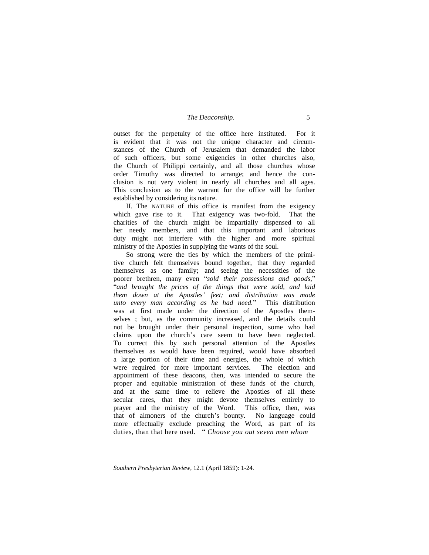outset for the perpetuity of the office here instituted. For it is evident that it was not the unique character and circumstances of the Church of Jerusalem that demanded the labor of such officers, but some exigencies in other churches also, the Church of Philippi certainly, and all those churches whose order Timothy was directed to arrange; and hence the conclusion is not very violent in nearly all churches and all ages. This conclusion as to the warrant for the office will be further established by considering its nature.

II. The NATURE of this office is manifest from the exigency which gave rise to it. That exigency was two-fold. That the charities of the church might be impartially dispensed to all her needy members, and that this important and laborious duty might not interfere with the higher and more spiritual ministry of the Apostles in supplying the wants of the soul.

So strong were the ties by which the members of the primitive church felt themselves bound together, that they regarded themselves as one family; and seeing the necessities of the poorer brethren, many even "*sold their possessions and goods,*" "*and brought the prices of the things that were sold, and laid them down at the Apostles' feet; and distribution was made unto every man according as he had need.*" This distribution was at first made under the direction of the Apostles themselves ; but, as the community increased, and the details could not be brought under their personal inspection, some who had claims upon the church's care seem to have been neglected. To correct this by such personal attention of the Apostles themselves as would have been required, would have absorbed a large portion of their time and energies, the whole of which were required for more important services. The election and appointment of these deacons, then, was intended to secure the proper and equitable ministration of these funds of the church, and at the same time to relieve the Apostles of all these secular cares, that they might devote themselves entirely to prayer and the ministry of the Word. This office, then, was that of almoners of the church's bounty. No language could more effectually exclude preaching the Word, as part of its duties, than that here used. " *Choose you out seven men whom*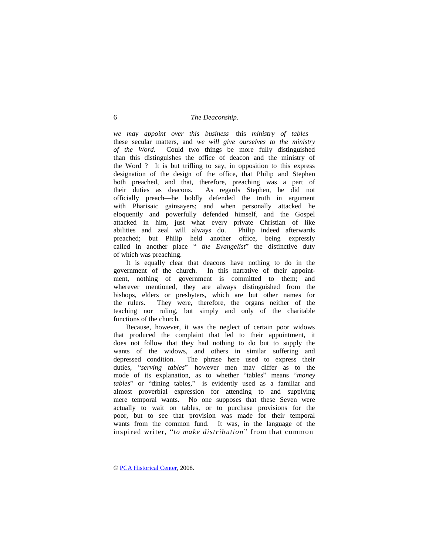*we may appoint over this business*—this *ministry of tables* these secular matters, and *we will give ourselves to the ministry of the Word.* Could two things be more fully distinguished than this distinguishes the office of deacon and the ministry of the Word ? It is but trifling to say, in opposition to this express designation of the design of the office, that Philip and Stephen both preached, and that, therefore, preaching was a part of their duties as deacons. As regards Stephen, he did not officially preach—he boldly defended the truth in argument with Pharisaic gainsayers; and when personally attacked he eloquently and powerfully defended himself, and the Gospel attacked in him, just what every private Christian of like abilities and zeal will always do. Philip indeed afterwards preached; but Philip held another office, being expressly called in another place " *the Evangelist*" the distinctive duty of which was preaching.

It is equally clear that deacons have nothing to do in the government of the church. In this narrative of their appointment, nothing of government is committed to them; and wherever mentioned, they are always distinguished from the bishops, elders or presbyters, which are but other names for the rulers. They were, therefore, the organs neither of the teaching nor ruling, but simply and only of the charitable functions of the church.

 Because, however, it was the neglect of certain poor widows that produced the complaint that led to their appointment, it does not follow that they had nothing to do but to supply the wants of the widows, and others in similar suffering and depressed condition. The phrase here used to express their duties, "*serving tables*"—however men may differ as to the mode of its explanation, as to whether "tables" means "*money tables*" or "dining tables,"—is evidently used as a familiar and almost proverbial expression for attending to and supplying mere temporal wants. No one supposes that these Seven were actually to wait on tables, or to purchase provisions for the poor, but to see that provision was made for their temporal wants from the common fund. It was, in the language of the inspired writer, "to make distribution" from that common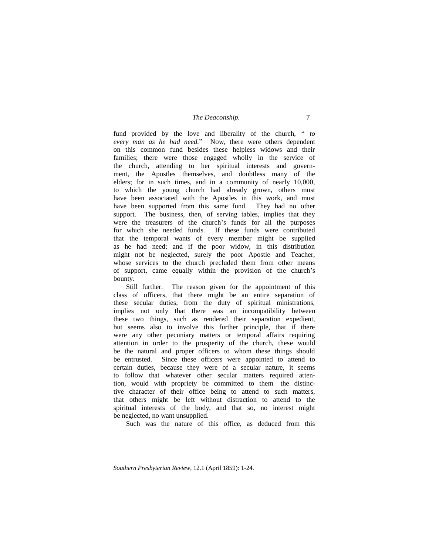fund provided by the love and liberality of the church, " *to every man as he had need.*" Now, there were others dependent on this common fund besides these helpless widows and their families; there were those engaged wholly in the service of the church, attending to her spiritual interests and government, the Apostles themselves, and doubtless many of the elders; for in such times, and in a community of nearly 10,000, to which the young church had already grown, others must have been associated with the Apostles in this work, and must have been supported from this same fund. They had no other support. The business, then, of serving tables, implies that they were the treasurers of the church's funds for all the purposes for which she needed funds. If these funds were contributed that the temporal wants of every member might be supplied as he had need; and if the poor widow, in this distribution might not be neglected, surely the poor Apostle and Teacher, whose services to the church precluded them from other means of support, came equally within the provision of the church's bounty.

Still further. The reason given for the appointment of this class of officers, that there might be an entire separation of these secular duties, from the duty of spiritual ministrations, implies not only that there was an incompatibility between these two things, such as rendered their separation expedient, but seems also to involve this further principle, that if there were any other pecuniary matters or temporal affairs requiring attention in order to the prosperity of the church, these would be the natural and proper officers to whom these things should be entrusted. Since these officers were appointed to attend to certain duties, because they were of a secular nature, it seems to follow that whatever other secular matters required attention, would with propriety be committed to them—the distinctive character of their office being to attend to such matters, that others might be left without distraction to attend to the spiritual interests of the body, and that so, no interest might be neglected, no want unsupplied.

Such was the nature of this office, as deduced from this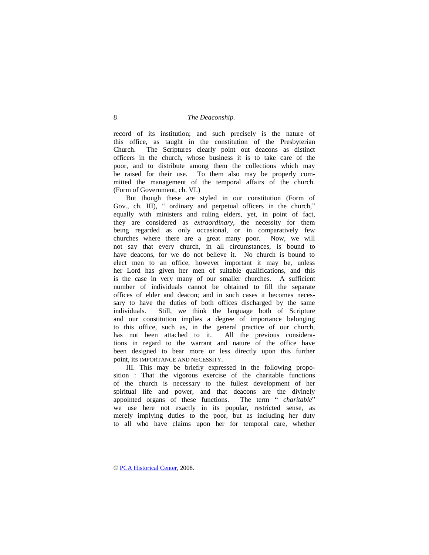record of its institution; and such precisely is the nature of this office, as taught in the constitution of the Presbyterian Church. The Scriptures clearly point out deacons as distinct officers in the church, whose business it is to take care of the poor, and to distribute among them the collections which may be raised for their use. To them also may be properly committed the management of the temporal affairs of the church. (Form of Government, ch. VI.)

But though these are styled in our constitution (Form of Gov., ch. III), " ordinary and perpetual officers in the church," equally with ministers and ruling elders, yet, in point of fact, they are considered as *extraordinary,* the necessity for them being regarded as only occasional, or in comparatively few churches where there are a great many poor. Now, we will not say that every church, in all circumstances, is bound to have deacons, for we do not believe it. No church is bound to elect men to an office, however important it may be, unless her Lord has given her men of suitable qualifications, and this is the case in very many of our smaller churches. A sufficient number of individuals cannot be obtained to fill the separate offices of elder and deacon; and in such cases it becomes necessary to have the duties of both offices discharged by the same individuals. Still, we think the language both of Scripture and our constitution implies a degree of importance belonging to this office, such as, in the general practice of our church, has not been attached to it. All the previous considerations in regard to the warrant and nature of the office have been designed to bear more or less directly upon this further point, its IMPORTANCE AND NECESSITY.

III. This may be briefly expressed in the following proposition : That the vigorous exercise of the charitable functions of the church is necessary to the fullest development of her spiritual life and power, and that deacons are the divinely appointed organs of these functions. The term " *charitable*" we use here not exactly in its popular, restricted sense, as merely implying duties to the poor, but as including her duty to all who have claims upon her for temporal care, whether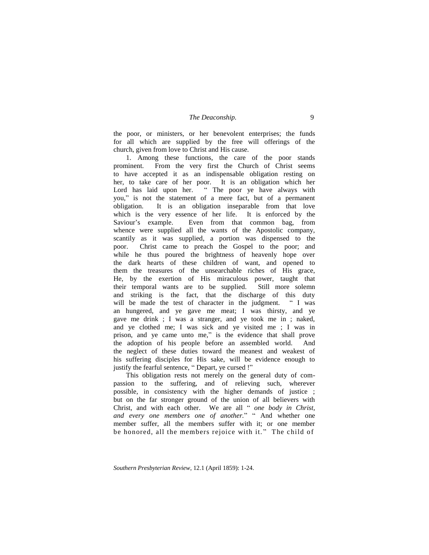the poor, or ministers, or her benevolent enterprises; the funds for all which are supplied by the free will offerings of the church, given from love to Christ and His cause.

1. Among these functions, the care of the poor stands prominent. From the very first the Church of Christ seems to have accepted it as an indispensable obligation resting on her, to take care of her poor. It is an obligation which her Lord has laid upon her. " The poor ye have always with you," is not the statement of a mere fact, but of a permanent obligation. It is an obligation inseparable from that love which is the very essence of her life. It is enforced by the Saviour's example. Even from that common bag, from whence were supplied all the wants of the Apostolic company, scantily as it was supplied, a portion was dispensed to the poor. Christ came to preach the Gospel to the poor; and while he thus poured the brightness of heavenly hope over the dark hearts of these children of want, and opened to them the treasures of the unsearchable riches of His grace, He, by the exertion of His miraculous power, taught that their temporal wants are to be supplied. Still more solemn and striking is the fact, that the discharge of this duty will be made the test of character in the judgment. " I was an hungered, and ye gave me meat; I was thirsty, and ye gave me drink ; I was a stranger, and ye took me in ; naked, and ye clothed me; I was sick and ye visited me ; I was in prison, and ye came unto me," is the evidence that shall prove the adoption of his people before an assembled world. And the neglect of these duties toward the meanest and weakest of his suffering disciples for His sake, will be evidence enough to justify the fearful sentence, " Depart, ye cursed !"

This obligation rests not merely on the general duty of compassion to the suffering, and of relieving such, wherever possible, in consistency with the higher demands of justice ; but on the far stronger ground of the union of all believers with Christ, and with each other. We are all " *one body in Christ, and every one members one of another.*" " And whether one member suffer, all the members suffer with it; or one member be honored, all the members rejoice with it." The child of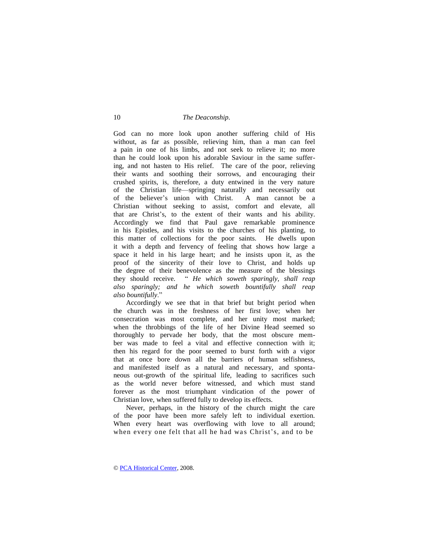God can no more look upon another suffering child of His without, as far as possible, relieving him, than a man can feel a pain in one of his limbs, and not seek to relieve it; no more than he could look upon his adorable Saviour in the same suffering, and not hasten to His relief. The care of the poor, relieving their wants and soothing their sorrows, and encouraging their crushed spirits, is, therefore, a duty entwined in the very nature of the Christian life—springing naturally and necessarily out of the believer's union with Christ. A man cannot be a Christian without seeking to assist, comfort and elevate, all that are Christ's, to the extent of their wants and his ability. Accordingly we find that Paul gave remarkable prominence in his Epistles, and his visits to the churches of his planting, to this matter of collections for the poor saints. He dwells upon it with a depth and fervency of feeling that shows how large a space it held in his large heart; and he insists upon it, as the proof of the sincerity of their love to Christ, and holds up the degree of their benevolence as the measure of the blessings they should receive. " *He which soweth sparingly, shall reap also sparingly; and he which soweth bountifully shall reap also bountifully*."

Accordingly we see that in that brief but bright period when the church was in the freshness of her first love; when her consecration was most complete, and her unity most marked; when the throbbings of the life of her Divine Head seemed so thoroughly to pervade her body, that the most obscure member was made to feel a vital and effective connection with it; then his regard for the poor seemed to burst forth with a vigor that at once bore down all the barriers of human selfishness, and manifested itself as a natural and necessary, and spontaneous out-growth of the spiritual life, leading to sacrifices such as the world never before witnessed, and which must stand forever as the most triumphant vindication of the power of Christian love, when suffered fully to develop its effects.

Never, perhaps, in the history of the church might the care of the poor have been more safely left to individual exertion. When every heart was overflowing with love to all around; when every one felt that all he had was Christ's, and to be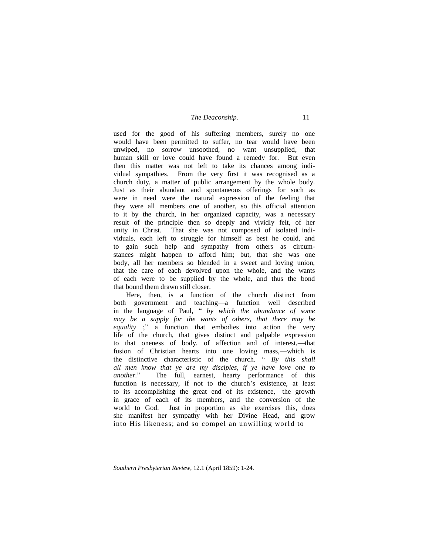used for the good of his suffering members, surely no one would have been permitted to suffer, no tear would have been unwiped, no sorrow unsoothed, no want unsupplied, that human skill or love could have found a remedy for. But even then this matter was not left to take its chances among individual sympathies. From the very first it was recognised as a church duty, a matter of public arrangement by the whole body. Just as their abundant and spontaneous offerings for such as were in need were the natural expression of the feeling that they were all members one of another, so this official attention to it by the church, in her organized capacity, was a necessary result of the principle then so deeply and vividly felt, of her unity in Christ. That she was not composed of isolated individuals, each left to struggle for himself as best he could, and to gain such help and sympathy from others as circumstances might happen to afford him; but, that she was one body, all her members so blended in a sweet and loving union, that the care of each devolved upon the whole, and the wants of each were to be supplied by the whole, and thus the bond that bound them drawn still closer.

Here, then, is a function of the church distinct from both government and teaching—a function well described in the language of Paul, " *by which the abundance of some may be a supply for the wants of others, that there may be equality* ;" a function that embodies into action the very life of the church, that gives distinct and palpable expression to that oneness of body, of affection and of interest,—that fusion of Christian hearts into one loving mass,—which is the distinctive characteristic of the church. " *By this shall all men know that ye are my disciples, if ye have love one to another.*" The full, earnest, hearty performance of this function is necessary, if not to the church's existence, at least to its accomplishing the great end of its existence,—the growth in grace of each of its members, and the conversion of the world to God. Just in proportion as she exercises this, does she manifest her sympathy with her Divine Head, and grow into His likeness; and so compel an unwilling world to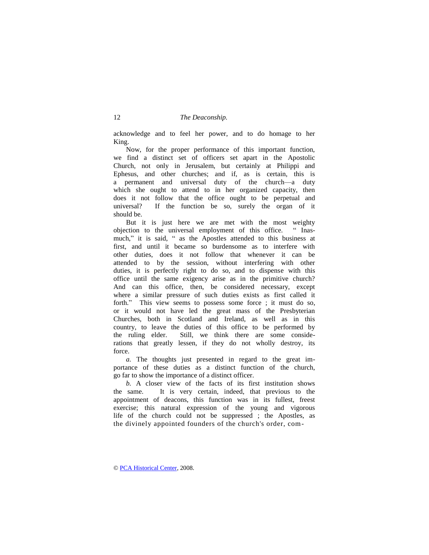acknowledge and to feel her power, and to do homage to her King.

Now, for the proper performance of this important function, we find a distinct set of officers set apart in the Apostolic Church, not only in Jerusalem, but certainly at Philippi and Ephesus, and other churches; and if, as is certain, this is a permanent and universal duty of the church—a duty which she ought to attend to in her organized capacity, then does it not follow that the office ought to be perpetual and universal? If the function be so, surely the organ of it should be.

But it is just here we are met with the most weighty objection to the universal employment of this office. " Inasmuch," it is said, " as the Apostles attended to this business at first, and until it became so burdensome as to interfere with other duties, does it not follow that whenever it can be attended to by the session, without interfering with other duties, it is perfectly right to do so, and to dispense with this office until the same exigency arise as in the primitive church? And can this office, then, be considered necessary, except where a similar pressure of such duties exists as first called it forth." This view seems to possess some force; it must do so, or it would not have led the great mass of the Presbyterian Churches, both in Scotland and Ireland, as well as in this country, to leave the duties of this office to be performed by the ruling elder. Still, we think there are some considerations that greatly lessen, if they do not wholly destroy, its force.

*a.* The thoughts just presented in regard to the great importance of these duties as a distinct function of the church, go far to show the importance of a distinct officer.

*b.* A closer view of the facts of its first institution shows the same. It is very certain, indeed, that previous to the appointment of deacons, this function was in its fullest, freest exercise; this natural expression of the young and vigorous life of the church could not be suppressed ; the Apostles, as the divinely appointed founders of the church's order, com-

<sup>©</sup> PCA Historical Center, 2008.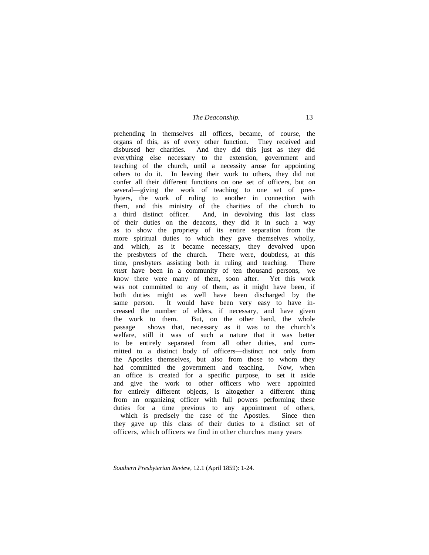prehending in themselves all offices, became, of course, the organs of this, as of every other function. They received and disbursed her charities. And they did this just as they did everything else necessary to the extension, government and teaching of the church, until a necessity arose for appointing others to do it. In leaving their work to others, they did not confer all their different functions on one set of officers, but on several—giving the work of teaching to one set of presbyters, the work of ruling to another in connection with them, and this ministry of the charities of the church to a third distinct officer. And, in devolving this last class of their duties on the deacons, they did it in such a way as to show the propriety of its entire separation from the more spiritual duties to which they gave themselves wholly, and which, as it became necessary, they devolved upon the presbyters of the church. There were, doubtless, at this time, presbyters assisting both in ruling and teaching. There *must* have been in a community of ten thousand persons,—we know there were many of them, soon after. Yet this work was not committed to any of them, as it might have been, if both duties might as well have been discharged by the same person. It would have been very easy to have increased the number of elders, if necessary, and have given the work to them. But, on the other hand, the whole passage shows that, necessary as it was to the church's welfare, still it was of such a nature that it was better to be entirely separated from all other duties, and committed to a distinct body of officers—distinct not only from the Apostles themselves, but also from those to whom they had committed the government and teaching. Now, when an office is created for a specific purpose, to set it aside and give the work to other officers who were appointed for entirely different objects, is altogether a different thing from an organizing officer with full powers performing these duties for a time previous to any appointment of others, —which is precisely the case of the Apostles. Since then they gave up this class of their duties to a distinct set of officers, which officers we find in other churches many years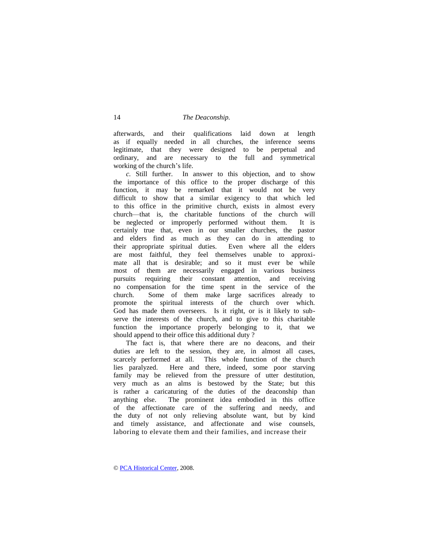afterwards, and their qualifications laid down at length as if equally needed in all churches, the inference seems legitimate, that they were designed to be perpetual and ordinary, and are necessary to the full and symmetrical working of the church's life.

*c.* Still further. In answer to this objection, and to show the importance of this office to the proper discharge of this function, it may be remarked that it would not be very difficult to show that a similar exigency to that which led to this office in the primitive church, exists in almost every church—that is, the charitable functions of the church will be neglected or improperly performed without them. It is certainly true that, even in our smaller churches, the pastor and elders find as much as they can do in attending to their appropriate spiritual duties. Even where all the elders are most faithful, they feel themselves unable to approximate all that is desirable; and so it must ever be while most of them are necessarily engaged in various business pursuits requiring their constant attention, and receiving no compensation for the time spent in the service of the church. Some of them make large sacrifices already to promote the spiritual interests of the church over which. God has made them overseers. Is it right, or is it likely to subserve the interests of the church, and to give to this charitable function the importance properly belonging to it, that we should append to their office this additional duty ?

The fact is, that where there are no deacons, and their duties are left to the session, they are, in almost all cases, scarcely performed at all. This whole function of the church lies paralyzed. Here and there, indeed, some poor starving family may be relieved from the pressure of utter destitution, very much as an alms is bestowed by the State; but this is rather a caricaturing of the duties of the deaconship than anything else. The prominent idea embodied in this office of the affectionate care of the suffering and needy, and the duty of not only relieving absolute want, but by kind and timely assistance, and affectionate and wise counsels, laboring to elevate them and their families, and increase their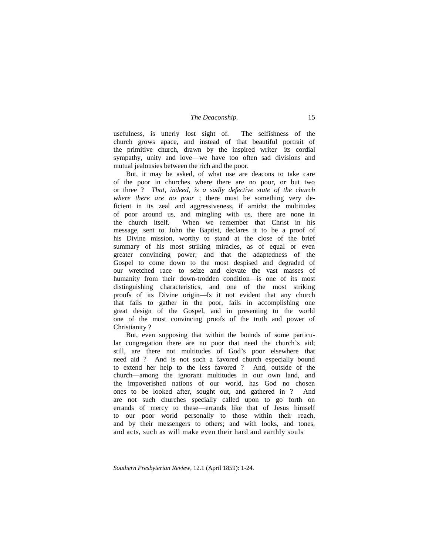usefulness, is utterly lost sight of. The selfishness of the church grows apace, and instead of that beautiful portrait of the primitive church, drawn by the inspired writer—its cordial sympathy, unity and love—we have too often sad divisions and mutual jealousies between the rich and the poor.

But, it may be asked, of what use are deacons to take care of the poor in churches where there are no poor, or but two or three ? *That, indeed, is a sadly defective state of the church where there are no poor* ; there must be something very deficient in its zeal and aggressiveness, if amidst the multitudes of poor around us, and mingling with us, there are none in the church itself. When we remember that Christ in his message, sent to John the Baptist, declares it to be a proof of his Divine mission, worthy to stand at the close of the brief summary of his most striking miracles, as of equal or even greater convincing power; and that the adaptedness of the Gospel to come down to the most despised and degraded of our wretched race—to seize and elevate the vast masses of humanity from their down-trodden condition—is one of its most distinguishing characteristics, and one of the most striking proofs of its Divine origin—Is it not evident that any church that fails to gather in the poor, fails in accomplishing one great design of the Gospel, and in presenting to the world one of the most convincing proofs of the truth and power of Christianity ?

But, even supposing that within the bounds of some particular congregation there are no poor that need the church's aid; still, are there not multitudes of God's poor elsewhere that need aid ? And is not such a favored church especially bound to extend her help to the less favored ? And, outside of the church—among the ignorant multitudes in our own land, and the impoverished nations of our world, has God no chosen ones to be looked after, sought out, and gathered in ? And are not such churches specially called upon to go forth on errands of mercy to these—errands like that of Jesus himself to our poor world—personally to those within their reach, and by their messengers to others; and with looks, and tones, and acts, such as will make even their hard and earthly souls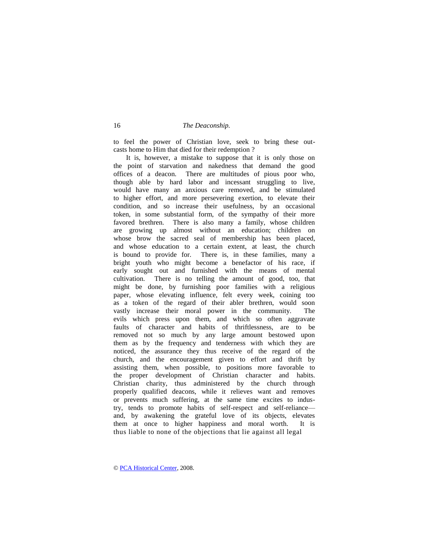to feel the power of Christian love, seek to bring these outcasts home to Him that died for their redemption ?

It is, however, a mistake to suppose that it is only those on the point of starvation and nakedness that demand the good offices of a deacon. There are multitudes of pious poor who, though able by hard labor and incessant struggling to live, would have many an anxious care removed, and be stimulated to higher effort, and more persevering exertion, to elevate their condition, and so increase their usefulness, by an occasional token, in some substantial form, of the sympathy of their more favored brethren. There is also many a family, whose children are growing up almost without an education; children on whose brow the sacred seal of membership has been placed, and whose education to a certain extent, at least, the church is bound to provide for. There is, in these families, many a bright youth who might become a benefactor of his race, if early sought out and furnished with the means of mental cultivation. There is no telling the amount of good, too, that might be done, by furnishing poor families with a religious paper, whose elevating influence, felt every week, coining too as a token of the regard of their abler brethren, would soon vastly increase their moral power in the community. The evils which press upon them, and which so often aggravate faults of character and habits of thriftlessness, are to be removed not so much by any large amount bestowed upon them as by the frequency and tenderness with which they are noticed, the assurance they thus receive of the regard of the church, and the encouragement given to effort and thrift by assisting them, when possible, to positions more favorable to the proper development of Christian character and habits. Christian charity, thus administered by the church through properly qualified deacons, while it relieves want and removes or prevents much suffering, at the same time excites to industry, tends to promote habits of self-respect and self-reliance and, by awakening the grateful love of its objects, elevates them at once to higher happiness and moral worth. It is thus liable to none of the objections that lie against all legal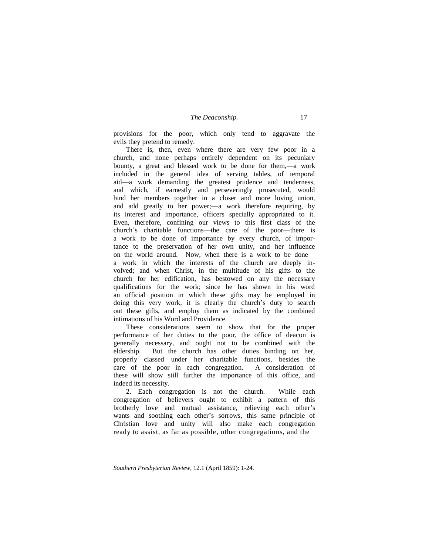provisions for the poor, which only tend to aggravate the evils they pretend to remedy.

There is, then, even where there are very few poor in a church, and none perhaps entirely dependent on its pecuniary bounty, a great and blessed work to be done for them,—a work included in the general idea of serving tables, of temporal aid—a work demanding the greatest prudence and tenderness, and which, if earnestly and perseveringly prosecuted, would bind her members together in a closer and more loving union, and add greatly to her power;—a work therefore requiring, by its interest and importance, officers specially appropriated to it. Even, therefore, confining our views to this first class of the church's charitable functions—the care of the poor—there is a work to be done of importance by every church, of importance to the preservation of her own unity, and her influence on the world around. Now, when there is a work to be done a work in which the interests of the church are deeply involved; and when Christ, in the multitude of his gifts to the church for her edification, has bestowed on any the necessary qualifications for the work; since he has shown in his word an official position in which these gifts may be employed in doing this very work, it is clearly the church's duty to search out these gifts, and employ them as indicated by the combined intimations of his Word and Providence.

These considerations seem to show that for the proper performance of her duties to the poor, the office of deacon is generally necessary, and ought not to be combined with the eldership. But the church has other duties binding on her, properly classed under her charitable functions, besides the care of the poor in each congregation. A consideration of these will show still further the importance of this office, and indeed its necessity.

2. Each congregation is not the church. While each congregation of believers ought to exhibit a pattern of this brotherly love and mutual assistance, relieving each other's wants and soothing each other's sorrows, this same principle of Christian love and unity will also make each congregation ready to assist, as far as possible, other congregations, and the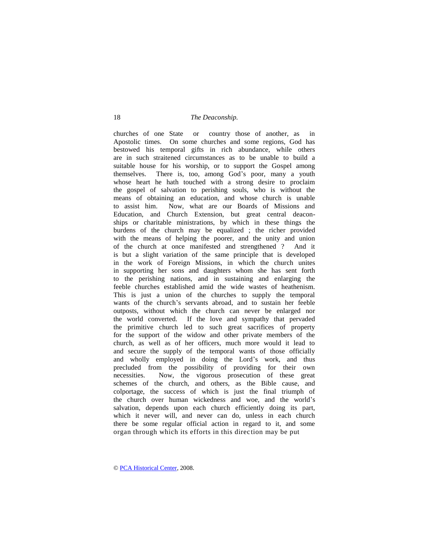churches of one State or country those of another, as in Apostolic times. On some churches and some regions, God has bestowed his temporal gifts in rich abundance, while others are in such straitened circumstances as to be unable to build a suitable house for his worship, or to support the Gospel among themselves. There is, too, among God's poor, many a youth whose heart he hath touched with a strong desire to proclaim the gospel of salvation to perishing souls, who is without the means of obtaining an education, and whose church is unable to assist him. Now, what are our Boards of Missions and Education, and Church Extension, but great central deaconships or charitable ministrations, by which in these things the burdens of the church may be equalized ; the richer provided with the means of helping the poorer, and the unity and union of the church at once manifested and strengthened ? And it is but a slight variation of the same principle that is developed in the work of Foreign Missions, in which the church unites in supporting her sons and daughters whom she has sent forth to the perishing nations, and in sustaining and enlarging the feeble churches established amid the wide wastes of heathenism. This is just a union of the churches to supply the temporal wants of the church's servants abroad, and to sustain her feeble outposts, without which the church can never be enlarged nor the world converted. If the love and sympathy that pervaded the primitive church led to such great sacrifices of property for the support of the widow and other private members of the church, as well as of her officers, much more would it lead to and secure the supply of the temporal wants of those officially and wholly employed in doing the Lord's work, and thus precluded from the possibility of providing for their own necessities. Now, the vigorous prosecution of these great schemes of the church, and others, as the Bible cause, and colportage, the success of which is just the final triumph of the church over human wickedness and woe, and the world's salvation, depends upon each church efficiently doing its part, which it never will, and never can do, unless in each church there be some regular official action in regard to it, and some organ through which its efforts in this direc tion may be put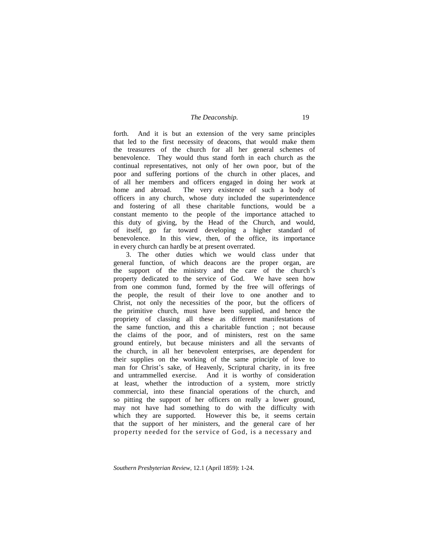forth. And it is but an extension of the very same principles that led to the first necessity of deacons, that would make them the treasurers of the church for all her general schemes of benevolence. They would thus stand forth in each church as the continual representatives, not only of her own poor, but of the poor and suffering portions of the church in other places, and of all her members and officers engaged in doing her work at home and abroad. The very existence of such a body of officers in any church, whose duty included the superintendence and fostering of all these charitable functions, would be a constant memento to the people of the importance attached to this duty of giving, by the Head of the Church, and would, of itself, go far toward developing a higher standard of benevolence. In this view, then, of the office, its importance in every church can hardly be at present overrated.

3. The other duties which we would class under that general function, of which deacons are the proper organ, are the support of the ministry and the care of the church's property dedicated to the service of God. We have seen how from one common fund, formed by the free will offerings of the people, the result of their love to one another and to Christ, not only the necessities of the poor, but the officers of the primitive church, must have been supplied, and hence the propriety of classing all these as different manifestations of the same function, and this a charitable function ; not because the claims of the poor, and of ministers, rest on the same ground entirely, but because ministers and all the servants of the church, in all her benevolent enterprises, are dependent for their supplies on the working of the same principle of love to man for Christ's sake, of Heavenly, Scriptural charity, in its free and untrammelled exercise. And it is worthy of consideration at least, whether the introduction of a system, more strictly commercial, into these financial operations of the church, and so pitting the support of her officers on really a lower ground, may not have had something to do with the difficulty with which they are supported. However this be, it seems certain that the support of her ministers, and the general care of her property needed for the service of God, is a necessary and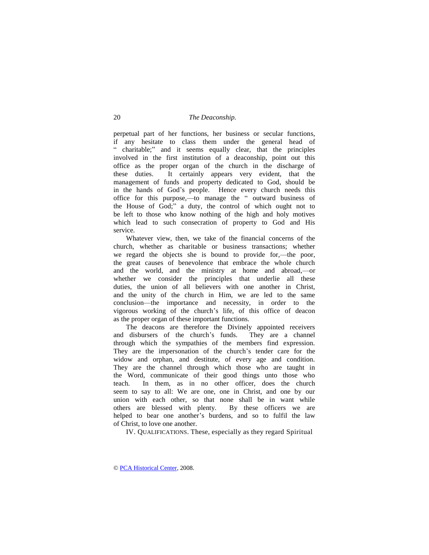perpetual part of her functions, her business or secular functions, if any hesitate to class them under the general head of " charitable;" and it seems equally clear, that the principles involved in the first institution of a deaconship, point out this office as the proper organ of the church in the discharge of these duties. It certainly appears very evident, that the management of funds and property dedicated to God, should be in the hands of God's people. Hence every church needs this office for this purpose,—to manage the " outward business of the House of God;" a duty, the control of which ought not to be left to those who know nothing of the high and holy motives which lead to such consecration of property to God and His service.

Whatever view, then, we take of the financial concerns of the church, whether as charitable or business transactions; whether we regard the objects she is bound to provide for,—the poor, the great causes of benevolence that embrace the whole church and the world, and the ministry at home and abroad,—or whether we consider the principles that underlie all these duties, the union of all believers with one another in Christ, and the unity of the church in Him, we are led to the same conclusion—the importance and necessity, in order to the vigorous working of the church's life, of this office of deacon as the proper organ of these important functions.

The deacons are therefore the Divinely appointed receivers and disbursers of the church's funds. They are a channel through which the sympathies of the members find expression. They are the impersonation of the church's tender care for the widow and orphan, and destitute, of every age and condition. They are the channel through which those who are taught in the Word, communicate of their good things unto those who teach. In them, as in no other officer, does the church seem to say to all: We are one, one in Christ, and one by our union with each other, so that none shall be in want while others are blessed with plenty. By these officers we are helped to bear one another's burdens, and so to fulfil the law of Christ, to love one another.

IV. QUALIFICATIONS. These, especially as they regard Spiritual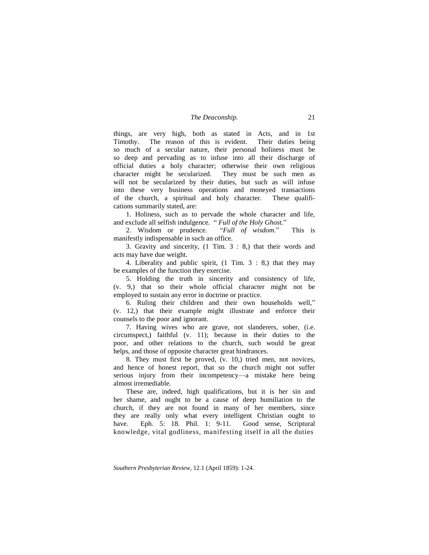things, are very high, both as stated in Acts, and in 1st Timothy. The reason of this is evident. Their duties being so much of a secular nature, their personal holiness must be so deep and pervading as to infuse into all their discharge of official duties a holy character; otherwise their own religious character might be secularized. They must be such men as will not be secularized by their duties, but such as will infuse into these very business operations and moneyed transactions of the church, a spiritual and holy character. These qualifications summarily stated, are:

1. Holiness, such as to pervade the whole character and life, and exclude all selfish indulgence. " *Full of the Holy Ghost.*"

2. Wisdom or prudence. "*Full of wisdom.*"This is manifestly indispensable in such an office.

3. Gravity and sincerity, (1 Tim. 3 : 8,) that their words and acts may have due weight.

4. Liberality and public spirit, (1 Tim. 3 : 8,) that they may be examples of the function they exercise.

5. Holding the truth in sincerity and consistency of life, (v. 9,) that so their whole official character might not be employed to sustain any error in doctrine or practice.

6. Ruling their children and their own households well," (v. 12,) that their example might illustrate and enforce their counsels to the poor and ignorant.

7. Having wives who are grave, not slanderers, sober, (i.e. circumspect,) faithful (v. 11); because in their duties to the poor, and other relations to the church, such would be great helps, and those of opposite character great hindrances.

8. They must first be proved, (v. 10,) tried men, not novices, and hence of honest report, that so the church might not suffer serious injury from their incompetency—a mistake here being almost irremediable.

These are, indeed, high qualifications, but it is her sin and her shame, and ought to be a cause of deep humiliation to the church, if they are not found in many of her members, since they are really only what every intelligent Christian ought to have. Eph. 5: 18. Phil. 1: 9-11. Good sense, Scriptural knowledge, vital godliness, manifesting itself in all the duties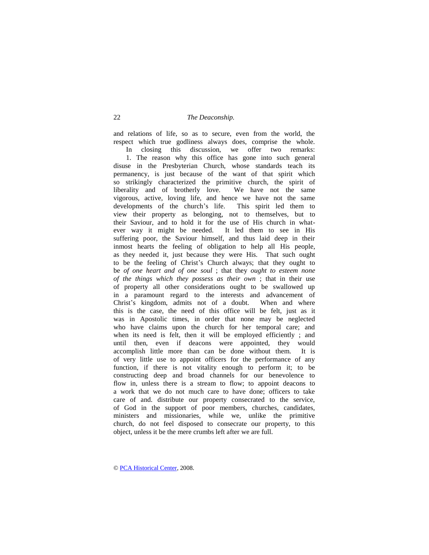and relations of life, so as to secure, even from the world, the respect which true godliness always does, comprise the whole.

In closing this discussion, we offer two remarks: 1. The reason why this office has gone into such general disuse in the Presbyterian Church, whose standards teach its permanency, is just because of the want of that spirit which so strikingly characterized the primitive church, the spirit of liberality and of brotherly love. We have not the same vigorous, active, loving life, and hence we have not the same developments of the church's life. This spirit led them to view their property as belonging, not to themselves, but to their Saviour, and to hold it for the use of His church in whatever way it might be needed. It led them to see in His suffering poor, the Saviour himself, and thus laid deep in their inmost hearts the feeling of obligation to help all His people, as they needed it, just because they were His. That such ought to be the feeling of Christ's Church always; that they ought to be *of one heart and of one soul* ; that they *ought to esteem none of the things which they possess as their own* ; that in their use of property all other considerations ought to be swallowed up in a paramount regard to the interests and advancement of Christ's kingdom, admits not of a doubt. When and where this is the case, the need of this office will be felt, just as it was in Apostolic times, in order that none may be neglected who have claims upon the church for her temporal care; and when its need is felt, then it will be employed efficiently; and until then, even if deacons were appointed, they would accomplish little more than can be done without them. It is of very little use to appoint officers for the performance of any function, if there is not vitality enough to perform it; to be constructing deep and broad channels for our benevolence to flow in, unless there is a stream to flow; to appoint deacons to a work that we do not much care to have done; officers to take care of and. distribute our property consecrated to the service, of God in the support of poor members, churches, candidates, ministers and missionaries, while we, unlike the primitive church, do not feel disposed to consecrate our property, to this object, unless it be the mere crumbs left after we are full.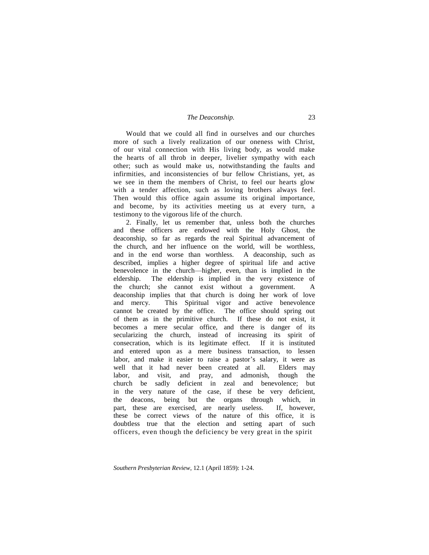Would that we could all find in ourselves and our churches more of such a lively realization of our oneness with Christ, of our vital connection with His living body, as would make the hearts of all throb in deeper, livelier sympathy with each other; such as would make us, notwithstanding the faults and infirmities, and inconsistencies of bur fellow Christians, yet, as we see in them the members of Christ, to feel our hearts glow with a tender affection, such as loving brothers always feel. Then would this office again assume its original importance, and become, by its activities meeting us at every turn, a testimony to the vigorous life of the church.

2. Finally, let us remember that, unless both the churches and these officers are endowed with the Holy Ghost, the deaconship, so far as regards the real Spiritual advancement of the church, and her influence on the world, will be worthless, and in the end worse than worthless. A deaconship, such as described, implies a higher degree of spiritual life and active benevolence in the church—higher, even, than is implied in the eldership. The eldership is implied in the very existence of the church; she cannot exist without a government. A deaconship implies that that church is doing her work of love and mercy. This Spiritual vigor and active benevolence cannot be created by the office. The office should spring out of them as in the primitive church. If these do not exist, it becomes a mere secular office, and there is danger of its secularizing the church, instead of increasing its spirit of consecration, which is its legitimate effect. If it is instituted and entered upon as a mere business transaction, to lessen labor, and make it easier to raise a pastor's salary, it were as well that it had never been created at all. Elders may labor, and visit, and pray, and admonish, though the church be sadly deficient in zeal and benevolence; but in the very nature of the case, if these be very deficient, the deacons, being but the organs through which, in part, these are exercised, are nearly useless. If, however, these be correct views of the nature of this office, it is doubtless true that the election and setting apart of such officers, even though the deficiency be very great in the spirit